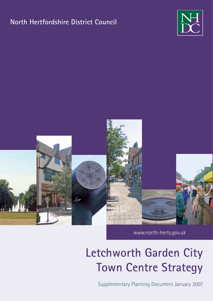# **North Hertfordshire District Council**





www.north‑herts.gov.uk

# **Letchworth Garden City Town Centre Strategy**

Supplementary Planning Document January 2007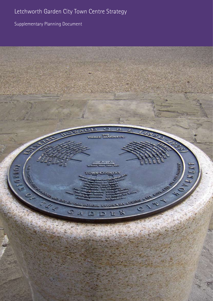Supplementary Planning Document

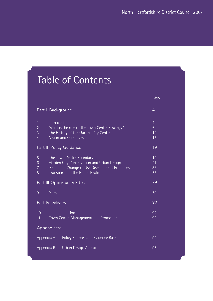# Table of Contents

|                                                                                                                                                                                                       | Page                                         |
|-------------------------------------------------------------------------------------------------------------------------------------------------------------------------------------------------------|----------------------------------------------|
| Part   Background                                                                                                                                                                                     | $\overline{4}$                               |
| Introduction<br>$\mathbf{1}$<br>$\overline{2}$<br>What is the role of the Town Centre Strategy?<br>$\overline{3}$<br>The History of the Garden City Centre<br>Vision and Objectives<br>$\overline{4}$ | $\overline{4}$<br>$6\phantom{a}$<br>12<br>17 |
| Part II Policy Guidance                                                                                                                                                                               | 19                                           |
| 5<br>The Town Centre Boundary<br>Garden City Conservation and Urban Design<br>6<br>Retail and Change of Use Development Principles<br>$\overline{7}$<br>Transport and the Public Realm<br>8           | 19<br>21<br>38<br>57                         |
| <b>Part III Opportunity Sites</b>                                                                                                                                                                     | 79                                           |
| <b>Sites</b><br>9                                                                                                                                                                                     | 79                                           |
| Part IV Delivery                                                                                                                                                                                      | 92                                           |
| 10 <sup>10</sup><br>Implementation<br>Town Centre Management and Promotion<br>11                                                                                                                      | 92<br>93                                     |
| Appendices:                                                                                                                                                                                           |                                              |
| Appendix A<br>Policy Sources and Evidence Base                                                                                                                                                        | 94                                           |
| Appendix B<br>Urban Design Appraisal                                                                                                                                                                  | 95                                           |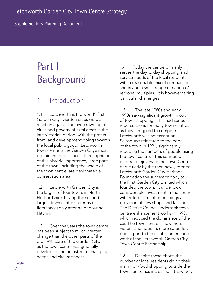Supplementary Planning Document

# Part I Background

## 1 Introduction

1.1 Letchworth is the world's first Garden City. Garden cities were a reaction against the overcrowding of cities and poverty of rural areas in the late Victorian period, with the profits from land development going towards the local public good. Letchworth town centre is the Garden City's most prominent public 'face'. In recognition of this historic importance, large parts of the town, including the whole of the town centre, are designated a conservation area.

1.2 Letchworth Garden City is the largest of four towns in North Hertfordshire, having the second largest town centre (in terms of floorspace) only after neighbouring Hitchin.

1.3 Over the years the town centre has been subject to much greater change than the other parts of the pre-1918 core of the Garden City, as the town centre has gradually developed and adjusted to changing needs and circumstances.

1.4 Today the centre primarily serves the day to day shopping and service needs of the local residents with a reasonable mix of comparison shops and a small range of national/ regional multiples. It is however facing particular challenges.

1.5 The late 1980s and early 1990s saw significant growth in out of town shopping. This had serious repercussions for many town centres as they struggled to compete. Letchworth was no exception. Sainsburys relocated to the edge of the town in 1991, significantly reducing the numbers of people using the town centre. This spurred on efforts to rejuvenate the Town Centre, particularly by the then newly formed Letchworth Garden City Heritage Foundation the successor body to the First Garden City Limited which founded the town. It undertook considerable investment in the centre with refurbishment of buildings and provision of new shops and facilities. The District Council undertook town centre enhancement works in 1993, which reduced the dominance of the car. The town centre is now more vibrant and appears more cared for, due in part to the establishment and work of the Letchworth Garden City Town Centre Partnership.

1.6 Despite these efforts the number of local residents doing their main non-food shopping outside the town centre has increased. It is widely

Page  $\overline{\mathcal{A}}$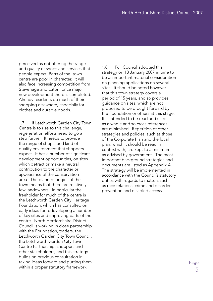perceived as not offering the range and quality of shops and services that people expect. Parts of the town centre are poor in character. It will also face increasing competition from Stevenage and Luton, once major new development there is completed. Already residents do much of their shopping elsewhere, especially for clothes and durable goods.

1.7 If Letchworth Garden City Town Centre is to rise to this challenge, regeneration efforts need to go a step further. It needs to provide the range of shops, and kind of quality environment that shoppers expect. It has a number of significant development opportunities, on sites which detract or make a neutral contribution to the character or appearance of the conservation area. The planned origins of the town means that there are relatively few landowners. In particular the freeholder for much of the centre is the Letchworth Garden City Heritage Foundation, which has consulted on early ideas for redeveloping a number of key sites and improving parts of the centre. North Hertfordshire District Council is working in close partnership with the Foundation, traders, the Letchworth Garden City Town Council, the Letchworth Garden City Town Centre Partnership, shoppers and other stakeholders, and this strategy builds on previous consultation in taking ideas forward and putting them within a proper statutory framework.

1.8 Full Council adopted this strategy on 18 January 2007 in time to be an important material consideration on planning applications on several sites. It should be noted however that this town strategy covers a period of 15 years, and so provides guidance on sites, which are not proposed to be brought forward by the Foundation or others at this stage. It is intended to be read and used as a whole and so cross references are minimised. Repetition of other strategies and policies, such as those of the Corporate Plan and the local plan, which it should be read in context with, are kept to a minimum as advised by government. The most important background strategies and documents are listed as Appendix A. The strategy will be implemented in accordance with the Council's statutory duties with regards to matters such as race relations, crime and disorder prevention and disabled access.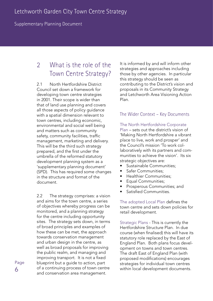Supplementary Planning Document

## 2 What is the role of the Town Centre Strategy?

2.1 North Hertfordshire District Council set down a framework for developing town centre strategies in 2001. Their scope is wider than that of land use planning and covers all those aspects of policy guidance with a spatial dimension relevant to town centres, including economic, environmental and social well being and matters such as community safety, community facilities, traffic management, marketing and delivery. This will be the third such strategy prepared, and the first under the umbrella of the reformed statutory development planning system as a 'supplementary planning document' (SPD). This has required some changes in the structure and format of the document.

2.2 The strategy comprises: a vision and aims for the town centre, a series of objectives whereby progress can be monitored, and a planning strategy for the centre including opportunity sites. The strategy sets down, in terms of broad principles and examples of how these can be met, the approach towards conservation management and urban design in the centre, as well as broad proposals for improving the public realm, and managing and improving transport. It is not a fixed blueprint but a guide to action, part of a continuing process of town centre and conservation area management.

It is informed by and will inform other strategies and approaches including those by other agencies. In particular this strategy should be seen as contributing to the District's vision and proposals in its Community Strategy and Letchworth Area Visioning Action Plan.

### The Wider Context – Key Documents

The North Hertfordshire Corporate Plan – sets out the district's vision of 'Making North Hertfordshire a vibrant place to live, work and prosper' and the Council's mission 'To work collaboratively with its partners and communities to achieve the vision'. Its six strategic objectives are:

- Sustainable Communities; •
- Safer Communities; •
- Healthier Communities; •
- Equal Communities; •
- Prosperous Communities; and •
- Satisfied Communities. •

The adopted Local Plan defines the town centre and sets down policies for retail development.

Strategic Plans - This is currently the Hertfordshire Structure Plan. In due course (when finalised) this will have its statutory role replaced by the East of England Plan. Both plans focus development on towns and town centres. The draft East of England Plan (with proposed modifications) encourages strategies for individual town centres within local development documents.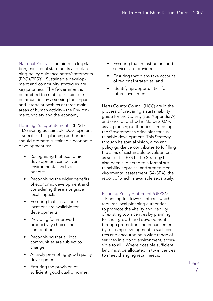National Policy is contained in legislation, ministerial statements and planning policy guidance notes/statements (PPGs/PPS's). Sustainable development and community strategies are key priorities. The Government is committed to creating sustainable communities by assessing the impacts and interrelationships of three main areas of human activity - the Environment, society and the economy.

#### Planning Policy Statement 1 (PPS1)

– Delivering Sustainable Development – specifies that planning authorities should promote sustainable economic development by:

- Recognising that economic development can deliver environmental and social benefits; •
- Recognising the wider benefits of economic development and considering these alongside local impacts;
- Ensuring that sustainable locations are available for developments;
- Providing for improved productivity choice and competition;
- Recognising that all local communities are subject to change;
- Actively promoting good quality development;
- Ensuring the provision of sufficient, good quality homes;
- Ensuring that infrastructure and services are provided; •
- Ensuring that plans take account of regional strategies; and •
- Identifying opportunities for future investment. •

Herts County Council (HCC) are in the process of preparing a sustainability guide for the County (see Appendix A) and once published in March 2007 will assist planning authorities in meeting the Government's principles for sustainable development. This Strategy through its spatial vision, aims and policy guidance contributes to fulfilling the aims of sustainable development as set out in PPS1. The Strategy has also been subjected to a formal sustainability appraisal and strategic environmental assessment (SA/SEA), the report of which is available separately.

Planning Policy Statement 6 (PPS6)

– Planning for Town Centres – which requires local planning authorities to promote the vitality and viability of existing town centres by planning for their growth and development; through promotion and enhancement, by focusing development in such centres and encouraging a wide range of services in a good environment, accessible to all. Where possible sufficient land must be allocated in town centres to meet changing retail needs.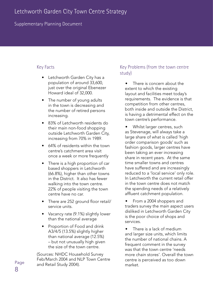### Supplementary Planning Document

#### Key Facts

- Letchworth Garden City has a population of around 33,600, just over the original Ebenezer Howard ideal of 32,000. •
- The number of young adults in the town is decreasing and the number of retired persons increasing.
- 83% of Letchworth residents do their main non-food shopping outside Letchworth Garden City, increasing from 70% in 1989.
- 64% of residents within the town centre's catchment area visit once a week or more frequently
- There is a high proportion of car based shoppers in Letchworth (66.8%), higher than other towns in the District. It also has fewer walking into the town centre. 22% of people visiting the town centre have no car.
- There are 252 ground floor retail/ service units.
- Vacancy rate (9.1%) slightly lower than the national average
- Proportion of Food and drink A3/4/5 (13.5%) slightly higher than national average (12.5%) – but not unusually high given the size of the town centre. •

(Sources: NHDC Household Survey Feb/March 2004 and NLP Town Centre and Retail Study 2004).

### Key Problems (from the town centre study)

- There is concern about the extent to which the existing layout and facilities meet today's requirements. The evidence is that competition from other centres, both inside and outside the District, is having a detrimental effect on the town centre's performance. •
- Whilst larger centres, such as Stevenage, will always take a large share of what is called 'high order comparison goods' such as fashion goods, larger centres have been taking an ever increasing share in recent years. At the same time smaller towns and centres have suffered and are increasingly reduced to a 'local service' only role. In Letchworth the current retail offer in the town centre does not match the spending needs of a relatively affluent catchment population. •
- From a 2004 shoppers and traders survey the main aspect users disliked in Letchworth Garden City is the poor choice of shops and services. •
- There is a lack of medium and larger size units, which limits the number of national chains. A frequent comment in the survey was that the town centre 'needs more chain stores'. Overall the town centre is perceived as too down market. •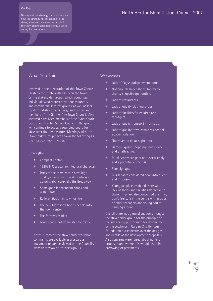#### **Vox Pops**

Throughout the strategy these boxes show how the strategy has responded to the views, ideas and concerns the people in the town centre stakeholder group raised during the workshops.

#### What You Said

Involved in the preparation of this Town Centre Strategy for Letchworth has been the town centre stakeholder group , which comprises individuals who represent various voluntary and commercial interest groups, as well as local residents, district councillors, landowners and members of the Garden City Town Council. Also involved have been members of the Bytes Youth Centre and Fernhill School Council. The group will continue to act as a sounding board for ideas over the town centre. Meetings with the Stakeholder Group have shown the following as the most common themes.

#### **Strengths**

- Compact Centre •
- 1920s & Classical architectural character •
- Parts of the town centre have high quality environment, wide footways, gardens etc. especially the Broadway. •
- Some good independent shops and restaurants. •
- Railway Station in town centre •
- The new Morrison's brings people into the town centre. •
- The Farmer's Market •
- Town centre not dominated by traffic. •

Note: A copy of the stakeholder workshop comments are available as a separate document or can be viewed on the Council's website at www.north-herts.gov.uk

#### Weaknesses

- Lack of flagship/department store •
- Not enough larger shops, too many charity shops/budget outlets. •
- Lack of restaurants •
- Lack of quality clothing shops •
- Lack of facilities for children and teenagers. •
- Lack of public transport information •
- Lack of quality town centre residential accommodation •
- Not much to do at night-time. •
- Garden Square Shopping Centre dark and unattractive. •
- Multi-storey car-park not user friendly and a potential crime risk •
- Poor signage. •
- Bus services considered poor, infrequent and expensive. •
- Young people considered there was a lack of shops and facilities attractive to them. They are also concerned that they don't feel safe in the centre with groups of older teenagers and young adults hanging around. •

Overall there was general support amongst the stakeholder group for the principle of the sites being put forward for development by the Letchworth Garden City Heritage Foundation but concerns over the designs and details of the development proposals. Also concerns were raised about parking proposals and where this would result in narrowing of pavements.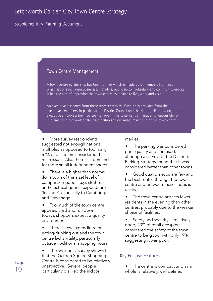#### Supplementary Planning Document

#### Town Centre Management

A town centre partnership has been formed which is made up of members from local organisations including businesses, retailers, public sector, voluntary and community groups. It has the aim of improving the town centre as a place to live, work and visit.

An executive is elected from these representatives. Funding is provided from the executive's members, in particular the District Council and the Heritage Foundation, and the executive employs a town centre manager. The town centre manager is responsible for implementing the work of the partnership and organises marketing of the town centre.

More survey respondents suggested not enough national multiples as opposed to too many. 67% of occupiers considered this as main issue. Also there is a demand for more small independent shops. •

There is a higher than normal (for a town of this size) level of comparison goods (e.g. clothes and electrical goods) expenditure 'leakage', especially to Cambridge and Stevenage. •

Too much of the town centre appears tired and run down, today's shoppers expect a quality environment. •

There is low expenditure on eating/drinking out and the town centre lacks vitality, particularly outside traditional shopping hours. •

The shoppers' survey showed that the Garden Square Shopping Centre is considered to be relatively unattractive. Several people particularly disliked the indoor •

market.

The parking was considered poor quality and confused, although a survey for the District's Parking Strategy found that it was considered better than other towns. •

Good quality shops are few and the best routes through the town centre and between these shops is unclear. •

The town centre attracts fewer residents in the evening than other centres, probably due to the weaker choice of facilities; •

Safety and security is relatively good; 40% of retail occupiers considered the safety of the town centre to be good, with only 19% suggesting it was poor. •

#### Key Positive Features

The centre is compact and as a whole is relatively well defined. •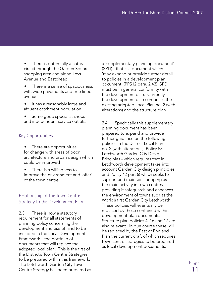There is potentially a natural circuit through the Garden Square shopping area and along Leys Avenue and Eastcheap. •

There is a sense of spaciousness with wide pavements and tree lined avenues. •

It has a reasonably large and affluent catchment population. •

Some good specialist shops and independent service outlets. •

### Key Opportunities

- There are opportunities for change with areas of poor architecture and urban design which could be improved •
- There is a willingness to improve the environment and 'offer' of the town centre. •

## Relationship of the Town Centre Strategy to the Development Plan

2.3 There is now a statutory requirement for all statements of planning policy concerning the development and use of land to be included in the Local Development Framework – the portfolio of documents that will replace the adopted local plan. This is the first of the District's Town Centre Strategies to be prepared within this framework. The Letchworth Garden City Town Centre Strategy has been prepared as

a 'supplementary planning document' (SPD) - that is a document which 'may expand or provide further detail to policies in a development plan document' (PPS12 para. 2.43). SPD must be in general conformity with the development plan. Currently the development plan comprises the existing adopted Local Plan no. 2 (with alterations) and the structure plan.

2.4 Specifically this supplementary planning document has been prepared to expand and provide further guidance on the following policies in the District Local Plan no. 2 (with alterations): Policy 58 Letchworth Garden City Design Principles - which requires that in Letchworth development takes into account Garden City design principles, and Policy 42 part (i) which seeks to support and maintain shopping as the main activity in town centres, providing it safeguards and enhances the environment of towns such as the World's first Garden City Letchworth. These policies will eventually be replaced by those contained within development plan documents. Structure plan policies 4, 16 and 17 are also relevant. In due course these will be replaced by the East of England Plan the current draft of which requires town centre strategies to be prepared as local development documents.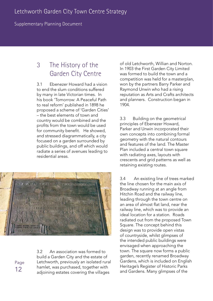Supplementary Planning Document

## 3 The History of the Garden City Centre

3.1 Ebenezer Howard had a vision to end the slum conditions suffered by many in late Victorian times. In his book 'Tomorrow: A Peaceful Path to real reform' published in 1898 he proposed a scheme of 'Garden Cities' – the best elements of town and country would be combined and the profits from the town would be used for community benefit. He showed, and stressed diagrammatically, a city focused on a garden surrounded by public buildings, and off which would radiate a series of avenues leading to residential areas.



Page 12

3.2 An association was formed to build a Garden City and the estate of Letchworth, previously an isolated rural hamlet, was purchased, together with adjoining estates covering the villages

of old Letchworth, Willian and Norton. In 1903 the First Garden City Limited was formed to build the town and a competition was held for a masterplan, won by the partners Barry Parker and Raymond Unwin who had a rising reputation as Arts and Crafts architects and planners. Construction began in 1904.

3.3 Building on the geometrical principles of Ebenezer Howard, Parker and Unwin incorporated their own concepts into combining formal geometry with the natural contours and features of the land. The Master Plan included a central town square with radiating axes, layouts with crescents and grid patterns as well as retaining existing routes.

3.4 An existing line of trees marked the line chosen for the main axis of Broadway running at an angle from Hitchin Road and the railway line, leading through the town centre on an area of almost flat land, near the railway line, which was to provide an ideal location for a station. Roads radiated out from the proposed Town Square. The concept behind this design was to provide open vistas of countryside, whilst glimpses of the intended public buildings were envisaged when approaching the town. The square now forms a public garden, recently renamed Broadway Gardens, which is included on English Heritage's Register of Historic Parks and Gardens. Many glimpses of the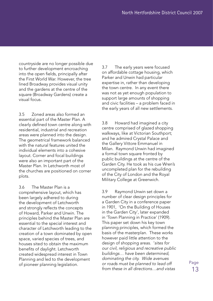countryside are no longer possible due to further development encroaching into the open fields, principally after the First World War. However, the tree lined Broadway provides visual unity and the gardens at the centre of the square (Broadway Gardens) create a visual focus.

3.5 Zoned areas also formed an essential part of the Master Plan. A clearly defined town centre along with residential, industrial and recreation areas were planned into the design. The geometrical framework balanced with the natural features united the individual elements into a cohesive layout. Corner and focal buildings were also an important part of the Master Plan. In Letchworth most of the churches are positioned on corner plots.

3.6 The Master Plan is a comprehensive layout, which has been largely adhered to during the development of Letchworth and strongly reflects the concepts of Howard, Parker and Unwin. The principles behind the Master Plan are essential to the special interest and character of Letchworth leading to the creation of a town dominated by open space, varied species of trees, and houses sited to obtain the maximum benefits of daylight. Letchworth created widespread interest in Town Planning and led to the development of pioneer planning legislation.

3.7 The early years were focused on affordable cottage housing, which Parker and Unwin had particular expertise in, rather than developing the town centre. In any event there was not as yet enough population to support large amounts of shopping and civic facilities – a problem faced in the early years of all new settlements.

3.8 Howard had imagined a city centre comprised of glazed shopping walkways, like at Victorian Southport; and he admired Crystal Palace and the Gallery Vittore Emmanuel in Milan. Raymond Unwin had imagined a formal town square fronted by public buildings at the centre of the Garden City. He took as his cue Wren's uncompleted plan for the rebuilding of the City of London and the Royal Military College at Greenwich.

3.9 Raymond Unwin set down a number of clear design principles for a Garden City in a conference paper in 1901, 'On the Building of Houses in the Garden City', later expanded in 'Town Planning in Practice' (1909). This paper set down his key town planning principles, which formed the basis of the masterplan. These works however paid little attention to the design of shopping areas. '*sites for our civil, religious and recreative public buildings… have been determined, dominating the city. Wide avenues or roads must be planned to lead off from these in all directions…and vistas*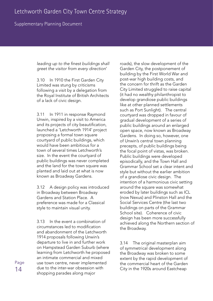#### Supplementary Planning Document

*leading up to the finest buildings shall greet the visitor from every direction*'

3.10 In 1910 the First Garden City Limited was stung by criticisms following a visit by a delegation from the Royal Institute of British Architects of a lack of civic design.

3.11 In 1911 in response Raymond Unwin, inspired by a visit to America and its projects of city beautification, launched a 'Letchworth 1914' project proposing a formal town square courtyard of public buildings, which would have been ambitious for a town of several times Letchworth's size. In the event the courtyard of public buildings was never completed and the land for the town square was planted and laid out at what is now known as Broadway Gardens.

3.12 A design policy was introduced in Broadway between Broadway Gardens and Station Place. A preference was made for a Classical style to maintain visual unity.

3.13 In the event a combination of circumstances led to modification and abandonment of the Letchworth 1914 proposals following Unwin's departure to live in and further work on Hampstead Garden Suburb (where learning from Letchworth he proposed an intimate commercial and mixed use town centre, never implemented due to the inter-war obsession with shopping parades along major

roads), the slow development of the Garden City, the postponement of building by the First World War and post-war high building costs, and the concern for thrift as the Garden City Limited struggled to raise capital (it had no wealthy philanthropist to develop grandiose public buildings like at other planned settlements such as Port Sunlight). The central courtyard was dropped in favour of gradual development of a series of public buildings around an enlarged open space, now known as Broadway Gardens. In doing so, however, one of Unwin's central town planning precepts, of public buildings being the focal point of vistas, was broken. Public buildings were developed episodically, and the Town Hall and Grammar School set a clear intent and style but without the earlier ambition of a grandiose civic design. The intention of a harmonious civic setting around the square was somewhat eroded by later buildings such as ICL (now Nexus) and Plinston Hall and the Social Services Centre (the last two buildings on parts of the Grammar School site). Coherence of civic design has been more successfully achieved along the Northern section of the Broadway.

3.14 The original masterplan aim of symmetrical development along the Broadway was broken to some extent by the rapid development of the commercial heart of the Garden City in the 1920s around Eastcheap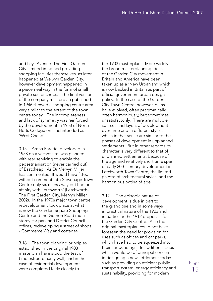and Leys Avenue. The First Garden City Limited imagined providing shopping facilities themselves, as later happened at Welwyn Garden City, however development happened in a piecemeal way in the form of small private sector shops. The final version of the company masterplan published in 1946 showed a shopping centre area very similar to the extent of the town centre today. The incompleteness and lack of symmetry was reinforced by the development in 1958 of North Herts College on land intended as 'West Cheap'.

3.15 Arena Parade, developed in 1958 on a vacant site, was planned with rear servicing to enable the pedestrianisation (never carried out) of Eastcheap. As Dr Mervyn Miller has commented 'It would have fitted without comment into Stevenage Town Centre only six miles away but had no affinity with Letchworth' (Letchworth-The First Garden City, Mervyn Miller 2002). In the 1970s major town centre redevelopment took place at what is now the Garden Square Shopping Centre and the Gernon Road multistorey car park and District Council offices, redeveloping a street of shops - Commerce Way and cottages.

3.16 The town planning principles established in the original 1903 masterplan have stood the test of time extraordinarily well, and in the case of residential development were completed fairly closely to

the 1903 masterplan. More widely the broad masterplanning ideas of the Garden City movement in Britain and America have been taken up as a 'New Urbanism' which is now backed in Britain as part of official government urban design policy. In the case of the Garden City Town Centre, however, plans have evolved, often pragmatically, often harmoniously, but sometimes unsatisfactorily. There are multiple sources and layers of development over time and in different styles, which in that sense are similar to the phases of development in unplanned settlements. But in other regards its character is very different to that of unplanned settlements, because of the age and relatively short time span of early 20th century development in Letchworth Town Centre, the limited palette of architectural styles, and the harmonious patina of age.

3.17 The episodic nature of development is due in part to the grandiose and in some ways impractical nature of the 1903 and in particular the 1912 proposals for the Garden City Centre. Also the original masterplan could not have foreseen the need for provision for uses such as offices and car parks, which have had to be squeezed into their surroundings. In addition, issues which would be of principal concern in designing a new settlement today, such as providing an efficient public transport system, energy efficiency and sustainability, providing for modern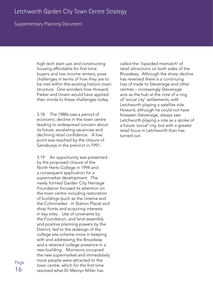#### Supplementary Planning Document

high tech start-ups and constructing housing affordable for first time buyers and low income renters, pose challenges in terms of how they are to be met within the existing historic town structure. One wonders how Howard, Parker and Unwin would have applied their minds to these challenges today.

3.18 The 1980s saw a period of economic decline in the town centre leading to widespread concern about its future, escalating vacancies and declining retail confidence. A low point was reached by the closure of Sainsburys in the precinct in 1991.

3.19 An opportunity was presented by the proposed closure of the North Herts College in 1994 and a consequent application for a supermarket development. The newly formed Garden City Heritage Foundation focused its attention on the town centre including restoration of buildings (such as the cinema and the Colonnades - in Station Place) and shop fronts and acquiring interests in key sites. Use of covenants by the Foundation, and land assembly and positive planning powers by the District, led to the redesign of the college site scheme more in keeping with and addressing the Broadway and a retained college presence in a new building. Morrisons occupied the new supermarket and immediately more people were attracted to the town centre, which for the first time resolved what Dr Mervyn Miller has

called the *'lopsided mismatch*' of retail attractions on both sides of the Broadway. Although the sharp decline has reversed there is a continuing loss of trade to Stevenage and other centres – increasingly Stevenage acts as the hub at the core of a ring of 'social city' settlements, with Letchworth playing a satellite role. Howard, although he could not have foreseen Stevenage, always saw Letchworth playing a role as a spoke of a future 'social' city, but with a greater retail focus in Letchworth than has turned out.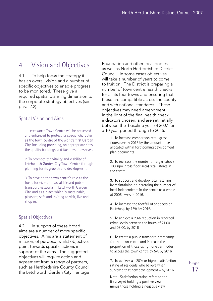## 4 Vision and Objectives

4.1 To help focus the strategy it has an overall vision and a number of specific objectives to enable progress to be monitored. These give a required spatial planning dimension to the corporate strategy objectives (see para. 2.2).

#### Spatial Vision and Aims

1. Letchworth Town Centre will be preserved and enhanced to protect its special character as the town centre of the world's first Garden City, including providing, on appropriate sites, the quality buildings and facilities it deserves.

2. To promote the vitality and viability of Letchworth Garden City Town Centre through planning for its growth and development.

3. To develop the town centre's role as the focus for civic and social life and public transport networks in Letchworth Garden City, and as a place which is sustainable, pleasant, safe and inviting to visit, live and shop in.

## Spatial Objectives

4.2 In support of these broad aims are a number of more specific objectives. Aims are a statement of mission, of purpose, whilst objectives point towards specific actions in support of the aims. The suggested objectives will require action and agreement from a range of partners, such as Hertfordshire County Council, the Letchworth Garden City Heritage

Foundation and other local bodies as well as North Hertfordshire District Council. In some cases objectives will take a number of years to come to fruition. The District is preparing a number of town centre health checks for all its four towns and ensuring that these are compatible across the county and with national standards. These objectives may need amendment in the light of the final health check indicators chosen, and are set initially between the baseline year of 2007 for a 10 year period through to 2016.

> 1. To increase comparison retail gross floorspace by 2016 by the amount to be allocated within forthcoming development plan documents.

> 2. To increase the number of larger (above 100 sqm. gross floor area) retail stores in the centre.

3. To support and develop local retailing by maintaining or increasing the number of local independents in the centre as a whole at 2005 levels in 2016.

4. To increase the footfall of shoppers on Eastcheap by 15% by 2016.

5. To achieve a 20% reduction in recorded crime levels between the hours of 21:00 and 03:00, by 2016.

6. To create a public transport interchange for the town centre and increase the proportion of those using none car modes to access the town centre by 5% by 2016.

7. To achieve a +20% or higher satisfaction rating of residents who believe when surveyed that new development – by 2016

Note: Satisfaction rating refers to the 5 surveyed holding a positive view minus those holding a negative view.